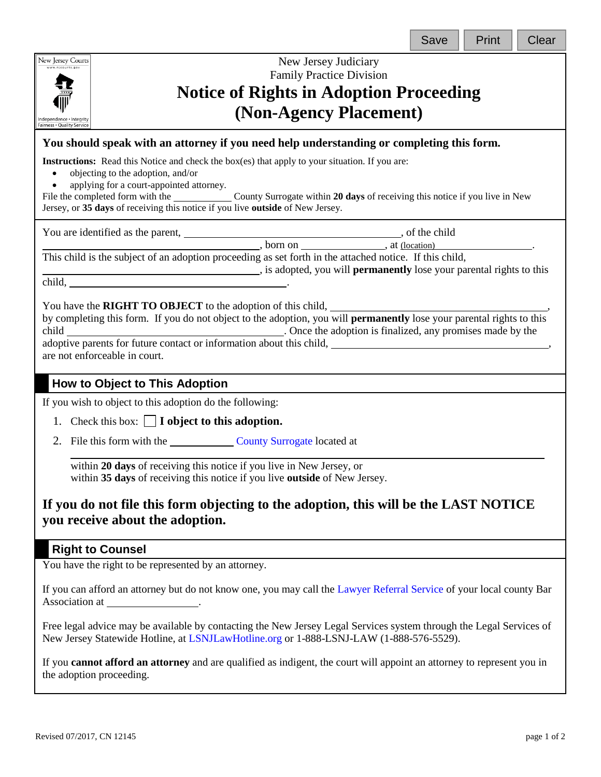| Save |  |
|------|--|
|      |  |



New Jersey Judiciary Family Practice Division **Notice of Rights in Adoption Proceeding (Non-Agency Placement)**

### **You should speak with an attorney if you need help understanding or completing this form.**

**Instructions:** Read this Notice and check the box(es) that apply to your situation. If you are:

- objecting to the adoption, and/or
- applying for a court-appointed attorney.

File the completed form with the County Surrogate within **20 days** of receiving this notice if you live in New Jersey, or **35 days** of receiving this notice if you live **outside** of New Jersey.

You are identified as the parent,  $\overline{\phantom{a}}$ , of the child

 $\frac{1}{2}$ , born on  $\frac{1}{2}$ , at (location)

This child is the subject of an adoption proceeding as set forth in the attached notice. If this child,

**EXECUTE:** is adopted, you will **permanently** lose your parental rights to this

child, .

You have the **RIGHT TO OBJECT** to the adoption of this child,

by completing this form. If you do not object to the adoption, you will **permanently** lose your parental rights to this child . Once the adoption is finalized, any promises made by the adoptive parents for future contact or information about this child, are not enforceable in court.

## **How to Object to This Adoption**

If you wish to object to this adoption do the following:

- 1. Check this box: **I object to this adoption.**
- 2. File this form with the [County Surrogate](https://www.njcourts.gov/public/assets/directories/surrogateroster.pdf) located at

 $\overline{\phantom{0}}$ within **20 days** of receiving this notice if you live in New Jersey, or within **35 days** of receiving this notice if you live **outside** of New Jersey.

# **If you do not file this form objecting to the adoption, this will be the LAST NOTICE you receive about the adoption.**

### **Right to Counsel**

You have the right to be represented by an attorney.

If you can afford an attorney but do not know one, you may call the [Lawyer Referral Service](http://www.njcourts.gov/forms/10153_deptyclerklawref.pdf) of your local county Bar Association at .

Free legal advice may be available by contacting the New Jersey Legal Services system through the Legal Services of New Jersey Statewide Hotline, at [LSNJLawHotline.org](http://lsnjlawhotline.org/) or 1-888-LSNJ-LAW (1-888-576-5529).

If you **cannot afford an attorney** and are qualified as indigent, the court will appoint an attorney to represent you in the adoption proceeding.